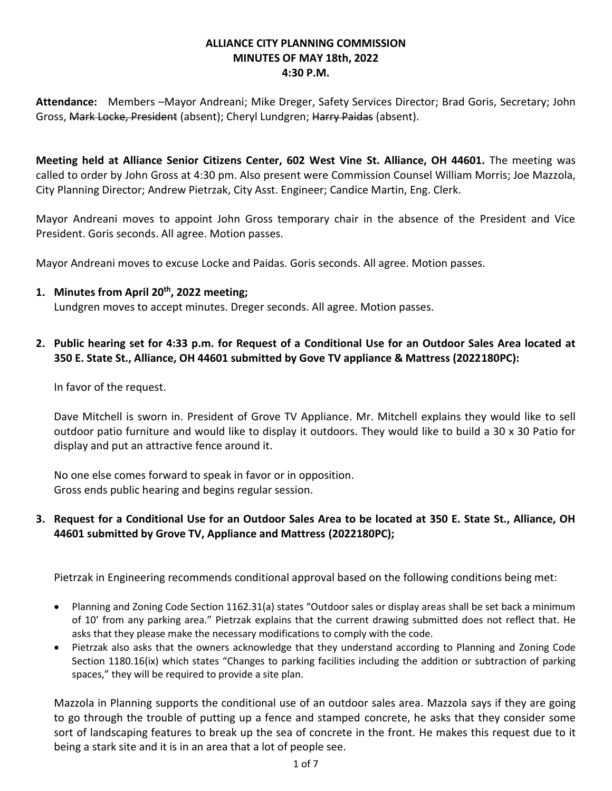### **ALLIANCE CITY PLANNING COMMISSION MINUTES OF MAY 18th, 2022 4:30 P.M.**

**Attendance:** Members –Mayor Andreani; Mike Dreger, Safety Services Director; Brad Goris, Secretary; John Gross, Mark Locke, President (absent); Cheryl Lundgren; Harry Paidas (absent).

**Meeting held at Alliance Senior Citizens Center, 602 West Vine St. Alliance, OH 44601.** The meeting was called to order by John Gross at 4:30 pm. Also present were Commission Counsel William Morris; Joe Mazzola, City Planning Director; Andrew Pietrzak, City Asst. Engineer; Candice Martin, Eng. Clerk.

Mayor Andreani moves to appoint John Gross temporary chair in the absence of the President and Vice President. Goris seconds. All agree. Motion passes.

Mayor Andreani moves to excuse Locke and Paidas. Goris seconds. All agree. Motion passes.

- **1. Minutes from April 20th , 2022 meeting;** Lundgren moves to accept minutes. Dreger seconds. All agree. Motion passes.
- **2. Public hearing set for 4:33 p.m. for Request of a Conditional Use for an Outdoor Sales Area located at 350 E. State St., Alliance, OH 44601 submitted by Gove TV appliance & Mattress (2022180PC):**

In favor of the request.

Dave Mitchell is sworn in. President of Grove TV Appliance. Mr. Mitchell explains they would like to sell outdoor patio furniture and would like to display it outdoors. They would like to build a 30 x 30 Patio for display and put an attractive fence around it.

No one else comes forward to speak in favor or in opposition. Gross ends public hearing and begins regular session.

# **3. Request for a Conditional Use for an Outdoor Sales Area to be located at 350 E. State St., Alliance, OH 44601 submitted by Grove TV, Appliance and Mattress (2022180PC);**

Pietrzak in Engineering recommends conditional approval based on the following conditions being met:

- Planning and Zoning Code Section 1162.31(a) states "Outdoor sales or display areas shall be set back a minimum of 10' from any parking area." Pietrzak explains that the current drawing submitted does not reflect that. He asks that they please make the necessary modifications to comply with the code.
- Pietrzak also asks that the owners acknowledge that they understand according to Planning and Zoning Code Section 1180.16(ix) which states "Changes to parking facilities including the addition or subtraction of parking spaces," they will be required to provide a site plan.

Mazzola in Planning supports the conditional use of an outdoor sales area. Mazzola says if they are going to go through the trouble of putting up a fence and stamped concrete, he asks that they consider some sort of landscaping features to break up the sea of concrete in the front. He makes this request due to it being a stark site and it is in an area that a lot of people see.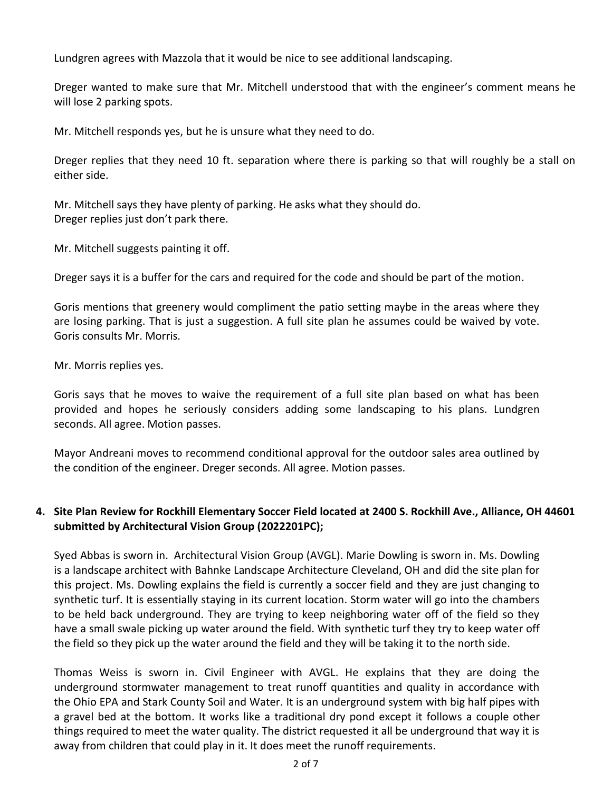Lundgren agrees with Mazzola that it would be nice to see additional landscaping.

Dreger wanted to make sure that Mr. Mitchell understood that with the engineer's comment means he will lose 2 parking spots.

Mr. Mitchell responds yes, but he is unsure what they need to do.

Dreger replies that they need 10 ft. separation where there is parking so that will roughly be a stall on either side.

Mr. Mitchell says they have plenty of parking. He asks what they should do. Dreger replies just don't park there.

Mr. Mitchell suggests painting it off.

Dreger says it is a buffer for the cars and required for the code and should be part of the motion.

Goris mentions that greenery would compliment the patio setting maybe in the areas where they are losing parking. That is just a suggestion. A full site plan he assumes could be waived by vote. Goris consults Mr. Morris.

Mr. Morris replies yes.

Goris says that he moves to waive the requirement of a full site plan based on what has been provided and hopes he seriously considers adding some landscaping to his plans. Lundgren seconds. All agree. Motion passes.

Mayor Andreani moves to recommend conditional approval for the outdoor sales area outlined by the condition of the engineer. Dreger seconds. All agree. Motion passes.

# **4. Site Plan Review for Rockhill Elementary Soccer Field located at 2400 S. Rockhill Ave., Alliance, OH 44601 submitted by Architectural Vision Group (2022201PC);**

Syed Abbas is sworn in. Architectural Vision Group (AVGL). Marie Dowling is sworn in. Ms. Dowling is a landscape architect with Bahnke Landscape Architecture Cleveland, OH and did the site plan for this project. Ms. Dowling explains the field is currently a soccer field and they are just changing to synthetic turf. It is essentially staying in its current location. Storm water will go into the chambers to be held back underground. They are trying to keep neighboring water off of the field so they have a small swale picking up water around the field. With synthetic turf they try to keep water off the field so they pick up the water around the field and they will be taking it to the north side.

Thomas Weiss is sworn in. Civil Engineer with AVGL. He explains that they are doing the underground stormwater management to treat runoff quantities and quality in accordance with the Ohio EPA and Stark County Soil and Water. It is an underground system with big half pipes with a gravel bed at the bottom. It works like a traditional dry pond except it follows a couple other things required to meet the water quality. The district requested it all be underground that way it is away from children that could play in it. It does meet the runoff requirements.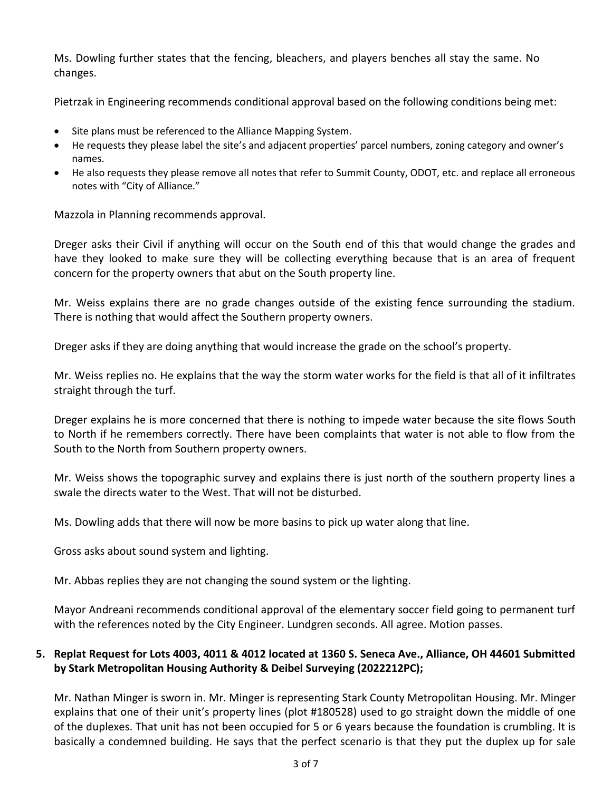Ms. Dowling further states that the fencing, bleachers, and players benches all stay the same. No changes.

Pietrzak in Engineering recommends conditional approval based on the following conditions being met:

- Site plans must be referenced to the Alliance Mapping System.
- He requests they please label the site's and adjacent properties' parcel numbers, zoning category and owner's names.
- He also requests they please remove all notes that refer to Summit County, ODOT, etc. and replace all erroneous notes with "City of Alliance."

Mazzola in Planning recommends approval.

Dreger asks their Civil if anything will occur on the South end of this that would change the grades and have they looked to make sure they will be collecting everything because that is an area of frequent concern for the property owners that abut on the South property line.

Mr. Weiss explains there are no grade changes outside of the existing fence surrounding the stadium. There is nothing that would affect the Southern property owners.

Dreger asks if they are doing anything that would increase the grade on the school's property.

Mr. Weiss replies no. He explains that the way the storm water works for the field is that all of it infiltrates straight through the turf.

Dreger explains he is more concerned that there is nothing to impede water because the site flows South to North if he remembers correctly. There have been complaints that water is not able to flow from the South to the North from Southern property owners.

Mr. Weiss shows the topographic survey and explains there is just north of the southern property lines a swale the directs water to the West. That will not be disturbed.

Ms. Dowling adds that there will now be more basins to pick up water along that line.

Gross asks about sound system and lighting.

Mr. Abbas replies they are not changing the sound system or the lighting.

Mayor Andreani recommends conditional approval of the elementary soccer field going to permanent turf with the references noted by the City Engineer. Lundgren seconds. All agree. Motion passes.

## **5. Replat Request for Lots 4003, 4011 & 4012 located at 1360 S. Seneca Ave., Alliance, OH 44601 Submitted by Stark Metropolitan Housing Authority & Deibel Surveying (2022212PC);**

Mr. Nathan Minger is sworn in. Mr. Minger is representing Stark County Metropolitan Housing. Mr. Minger explains that one of their unit's property lines (plot #180528) used to go straight down the middle of one of the duplexes. That unit has not been occupied for 5 or 6 years because the foundation is crumbling. It is basically a condemned building. He says that the perfect scenario is that they put the duplex up for sale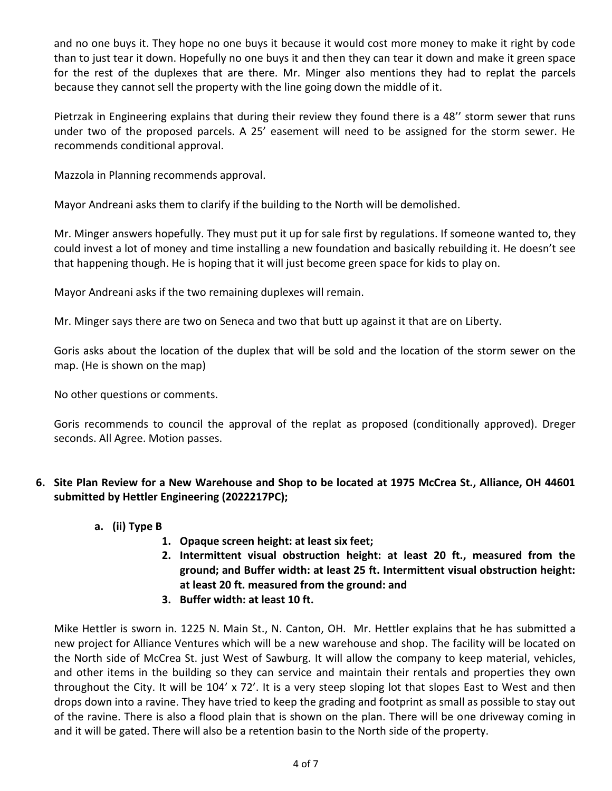and no one buys it. They hope no one buys it because it would cost more money to make it right by code than to just tear it down. Hopefully no one buys it and then they can tear it down and make it green space for the rest of the duplexes that are there. Mr. Minger also mentions they had to replat the parcels because they cannot sell the property with the line going down the middle of it.

Pietrzak in Engineering explains that during their review they found there is a 48'' storm sewer that runs under two of the proposed parcels. A 25' easement will need to be assigned for the storm sewer. He recommends conditional approval.

Mazzola in Planning recommends approval.

Mayor Andreani asks them to clarify if the building to the North will be demolished.

Mr. Minger answers hopefully. They must put it up for sale first by regulations. If someone wanted to, they could invest a lot of money and time installing a new foundation and basically rebuilding it. He doesn't see that happening though. He is hoping that it will just become green space for kids to play on.

Mayor Andreani asks if the two remaining duplexes will remain.

Mr. Minger says there are two on Seneca and two that butt up against it that are on Liberty.

Goris asks about the location of the duplex that will be sold and the location of the storm sewer on the map. (He is shown on the map)

No other questions or comments.

Goris recommends to council the approval of the replat as proposed (conditionally approved). Dreger seconds. All Agree. Motion passes.

# **6. Site Plan Review for a New Warehouse and Shop to be located at 1975 McCrea St., Alliance, OH 44601 submitted by Hettler Engineering (2022217PC);**

- **a. (ii) Type B**
	- **1. Opaque screen height: at least six feet;**
	- **2. Intermittent visual obstruction height: at least 20 ft., measured from the ground; and Buffer width: at least 25 ft. Intermittent visual obstruction height: at least 20 ft. measured from the ground: and**
	- **3. Buffer width: at least 10 ft.**

Mike Hettler is sworn in. 1225 N. Main St., N. Canton, OH. Mr. Hettler explains that he has submitted a new project for Alliance Ventures which will be a new warehouse and shop. The facility will be located on the North side of McCrea St. just West of Sawburg. It will allow the company to keep material, vehicles, and other items in the building so they can service and maintain their rentals and properties they own throughout the City. It will be 104' x 72'. It is a very steep sloping lot that slopes East to West and then drops down into a ravine. They have tried to keep the grading and footprint as small as possible to stay out of the ravine. There is also a flood plain that is shown on the plan. There will be one driveway coming in and it will be gated. There will also be a retention basin to the North side of the property.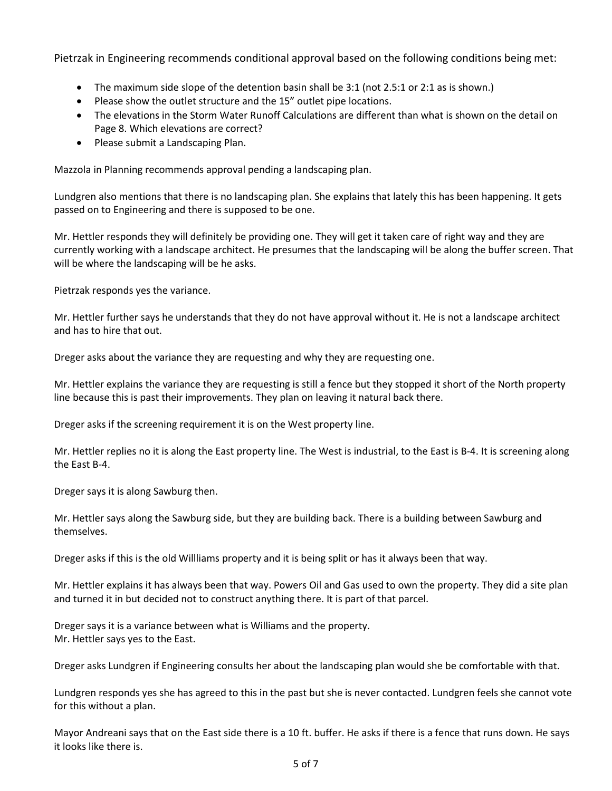Pietrzak in Engineering recommends conditional approval based on the following conditions being met:

- The maximum side slope of the detention basin shall be 3:1 (not 2.5:1 or 2:1 as is shown.)
- Please show the outlet structure and the 15" outlet pipe locations.
- The elevations in the Storm Water Runoff Calculations are different than what is shown on the detail on Page 8. Which elevations are correct?
- Please submit a Landscaping Plan.

Mazzola in Planning recommends approval pending a landscaping plan.

Lundgren also mentions that there is no landscaping plan. She explains that lately this has been happening. It gets passed on to Engineering and there is supposed to be one.

Mr. Hettler responds they will definitely be providing one. They will get it taken care of right way and they are currently working with a landscape architect. He presumes that the landscaping will be along the buffer screen. That will be where the landscaping will be he asks.

Pietrzak responds yes the variance.

Mr. Hettler further says he understands that they do not have approval without it. He is not a landscape architect and has to hire that out.

Dreger asks about the variance they are requesting and why they are requesting one.

Mr. Hettler explains the variance they are requesting is still a fence but they stopped it short of the North property line because this is past their improvements. They plan on leaving it natural back there.

Dreger asks if the screening requirement it is on the West property line.

Mr. Hettler replies no it is along the East property line. The West is industrial, to the East is B-4. It is screening along the East B-4.

Dreger says it is along Sawburg then.

Mr. Hettler says along the Sawburg side, but they are building back. There is a building between Sawburg and themselves.

Dreger asks if this is the old Willliams property and it is being split or has it always been that way.

Mr. Hettler explains it has always been that way. Powers Oil and Gas used to own the property. They did a site plan and turned it in but decided not to construct anything there. It is part of that parcel.

Dreger says it is a variance between what is Williams and the property. Mr. Hettler says yes to the East.

Dreger asks Lundgren if Engineering consults her about the landscaping plan would she be comfortable with that.

Lundgren responds yes she has agreed to this in the past but she is never contacted. Lundgren feels she cannot vote for this without a plan.

Mayor Andreani says that on the East side there is a 10 ft. buffer. He asks if there is a fence that runs down. He says it looks like there is.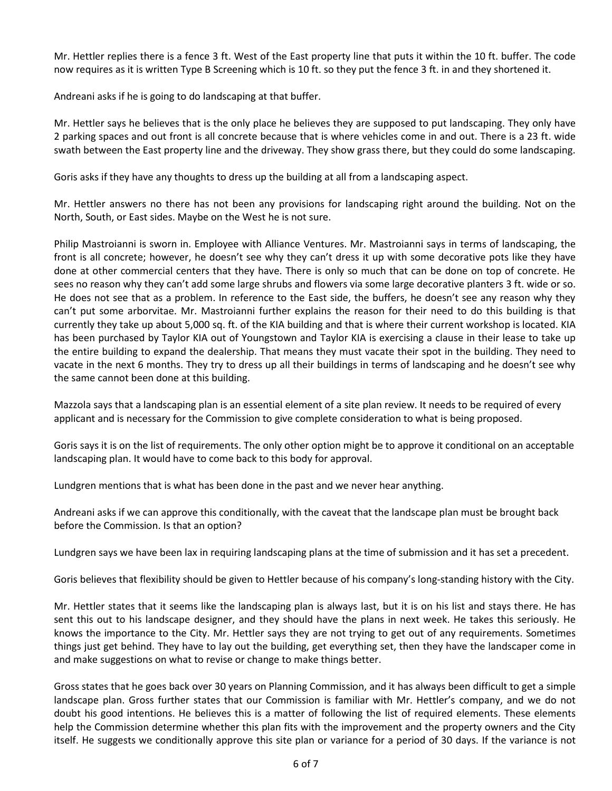Mr. Hettler replies there is a fence 3 ft. West of the East property line that puts it within the 10 ft. buffer. The code now requires as it is written Type B Screening which is 10 ft. so they put the fence 3 ft. in and they shortened it.

Andreani asks if he is going to do landscaping at that buffer.

Mr. Hettler says he believes that is the only place he believes they are supposed to put landscaping. They only have 2 parking spaces and out front is all concrete because that is where vehicles come in and out. There is a 23 ft. wide swath between the East property line and the driveway. They show grass there, but they could do some landscaping.

Goris asks if they have any thoughts to dress up the building at all from a landscaping aspect.

Mr. Hettler answers no there has not been any provisions for landscaping right around the building. Not on the North, South, or East sides. Maybe on the West he is not sure.

Philip Mastroianni is sworn in. Employee with Alliance Ventures. Mr. Mastroianni says in terms of landscaping, the front is all concrete; however, he doesn't see why they can't dress it up with some decorative pots like they have done at other commercial centers that they have. There is only so much that can be done on top of concrete. He sees no reason why they can't add some large shrubs and flowers via some large decorative planters 3 ft. wide or so. He does not see that as a problem. In reference to the East side, the buffers, he doesn't see any reason why they can't put some arborvitae. Mr. Mastroianni further explains the reason for their need to do this building is that currently they take up about 5,000 sq. ft. of the KIA building and that is where their current workshop is located. KIA has been purchased by Taylor KIA out of Youngstown and Taylor KIA is exercising a clause in their lease to take up the entire building to expand the dealership. That means they must vacate their spot in the building. They need to vacate in the next 6 months. They try to dress up all their buildings in terms of landscaping and he doesn't see why the same cannot been done at this building.

Mazzola says that a landscaping plan is an essential element of a site plan review. It needs to be required of every applicant and is necessary for the Commission to give complete consideration to what is being proposed.

Goris says it is on the list of requirements. The only other option might be to approve it conditional on an acceptable landscaping plan. It would have to come back to this body for approval.

Lundgren mentions that is what has been done in the past and we never hear anything.

Andreani asks if we can approve this conditionally, with the caveat that the landscape plan must be brought back before the Commission. Is that an option?

Lundgren says we have been lax in requiring landscaping plans at the time of submission and it has set a precedent.

Goris believes that flexibility should be given to Hettler because of his company's long-standing history with the City.

Mr. Hettler states that it seems like the landscaping plan is always last, but it is on his list and stays there. He has sent this out to his landscape designer, and they should have the plans in next week. He takes this seriously. He knows the importance to the City. Mr. Hettler says they are not trying to get out of any requirements. Sometimes things just get behind. They have to lay out the building, get everything set, then they have the landscaper come in and make suggestions on what to revise or change to make things better.

Gross states that he goes back over 30 years on Planning Commission, and it has always been difficult to get a simple landscape plan. Gross further states that our Commission is familiar with Mr. Hettler's company, and we do not doubt his good intentions. He believes this is a matter of following the list of required elements. These elements help the Commission determine whether this plan fits with the improvement and the property owners and the City itself. He suggests we conditionally approve this site plan or variance for a period of 30 days. If the variance is not